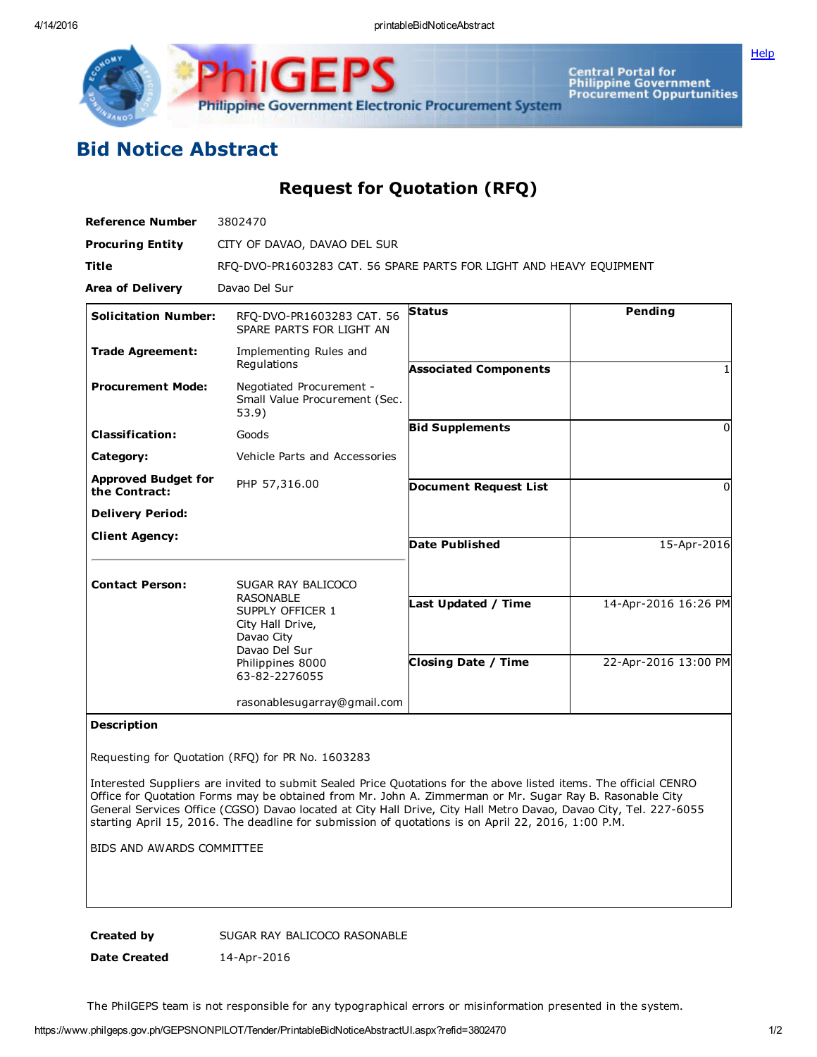Central Portal for<br>Philippine Government<br>Procurement Oppurtunities Philippine Government Electronic Procurement System

## Bid Notice Abstract

Request for Quotation (RFQ)

| <b>Reference Number</b>                     | 3802470                                                                                                                                            |                                                   |                                              |
|---------------------------------------------|----------------------------------------------------------------------------------------------------------------------------------------------------|---------------------------------------------------|----------------------------------------------|
| <b>Procuring Entity</b>                     | CITY OF DAVAO, DAVAO DEL SUR                                                                                                                       |                                                   |                                              |
| <b>Title</b>                                | RFQ-DVO-PR1603283 CAT. 56 SPARE PARTS FOR LIGHT AND HEAVY EQUIPMENT                                                                                |                                                   |                                              |
| <b>Area of Delivery</b>                     | Davao Del Sur                                                                                                                                      |                                                   |                                              |
| <b>Solicitation Number:</b>                 | RFO-DVO-PR1603283 CAT. 56<br>SPARE PARTS FOR LIGHT AN                                                                                              | <b>Status</b>                                     | Pending                                      |
| <b>Trade Agreement:</b>                     | Implementing Rules and<br>Regulations                                                                                                              | <b>Associated Components</b>                      |                                              |
| <b>Procurement Mode:</b>                    | Negotiated Procurement -<br>Small Value Procurement (Sec.<br>53.9)                                                                                 |                                                   |                                              |
| <b>Classification:</b>                      | Goods                                                                                                                                              | <b>Bid Supplements</b>                            | 0                                            |
| Category:                                   | Vehicle Parts and Accessories                                                                                                                      |                                                   |                                              |
| <b>Approved Budget for</b><br>the Contract: | PHP 57,316.00                                                                                                                                      | <b>Document Request List</b>                      | <sup>0</sup>                                 |
| <b>Delivery Period:</b>                     |                                                                                                                                                    |                                                   |                                              |
| <b>Client Agency:</b>                       |                                                                                                                                                    | <b>Date Published</b>                             | 15-Apr-2016                                  |
| <b>Contact Person:</b>                      | SUGAR RAY BALICOCO<br><b>RASONABLE</b><br>SUPPLY OFFICER 1<br>City Hall Drive,<br>Davao City<br>Davao Del Sur<br>Philippines 8000<br>63-82-2276055 | Last Updated / Time<br><b>Closing Date / Time</b> | 14-Apr-2016 16:26 PM<br>22-Apr-2016 13:00 PM |
|                                             | rasonablesugarray@gmail.com                                                                                                                        |                                                   |                                              |

## Description

Requesting for Quotation (RFQ) for PR No. 1603283

Interested Suppliers are invited to submit Sealed Price Quotations for the above listed items. The official CENRO Office for Quotation Forms may be obtained from Mr. John A. Zimmerman or Mr. Sugar Ray B. Rasonable City General Services Office (CGSO) Davao located at City Hall Drive, City Hall Metro Davao, Davao City, Tel. 227-6055 starting April 15, 2016. The deadline for submission of quotations is on April 22, 2016, 1:00 P.M.

BIDS AND AWARDS COMMITTEE

Created by SUGAR RAY BALICOCO RASONABLE

Date Created 14-Apr-2016

The PhilGEPS team is not responsible for any typographical errors or misinformation presented in the system.

**[Help](javascript:void(window.open()**